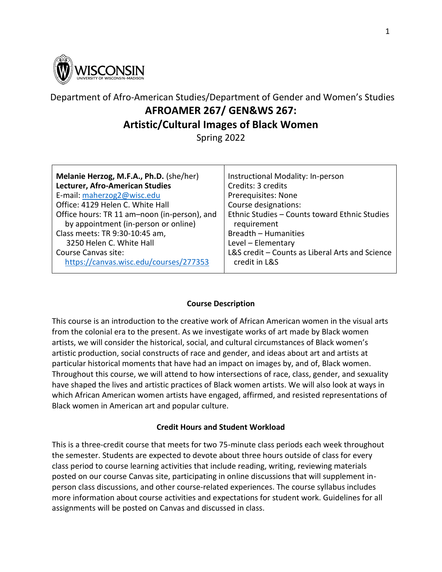

# Department of Afro-American Studies/Department of Gender and Women's Studies **AFROAMER 267/ GEN&WS 267: Artistic/Cultural Images of Black Women** Spring 2022

| Melanie Herzog, M.F.A., Ph.D. (she/her)      | Instructional Modality: In-person               |
|----------------------------------------------|-------------------------------------------------|
| Lecturer, Afro-American Studies              | Credits: 3 credits                              |
| E-mail: maherzog2@wisc.edu                   | Prerequisites: None                             |
| Office: 4129 Helen C. White Hall             | Course designations:                            |
| Office hours: TR 11 am-noon (in-person), and | Ethnic Studies - Counts toward Ethnic Studies   |
| by appointment (in-person or online)         | requirement                                     |
| Class meets: TR 9:30-10:45 am,               | Breadth - Humanities                            |
| 3250 Helen C. White Hall                     | Level - Elementary                              |
| Course Canvas site:                          | L&S credit - Counts as Liberal Arts and Science |
| https://canvas.wisc.edu/courses/277353       | credit in L&S                                   |

# **Course Description**

This course is an introduction to the creative work of African American women in the visual arts from the colonial era to the present. As we investigate works of art made by Black women artists, we will consider the historical, social, and cultural circumstances of Black women's artistic production, social constructs of race and gender, and ideas about art and artists at particular historical moments that have had an impact on images by, and of, Black women. Throughout this course, we will attend to how intersections of race, class, gender, and sexuality have shaped the lives and artistic practices of Black women artists. We will also look at ways in which African American women artists have engaged, affirmed, and resisted representations of Black women in American art and popular culture.

### **Credit Hours and Student Workload**

This is a three-credit course that meets for two 75-minute class periods each week throughout the semester. Students are expected to devote about three hours outside of class for every class period to course learning activities that include reading, writing, reviewing materials posted on our course Canvas site, participating in online discussions that will supplement inperson class discussions, and other course-related experiences. The course syllabus includes more information about course activities and expectations for student work. Guidelines for all assignments will be posted on Canvas and discussed in class.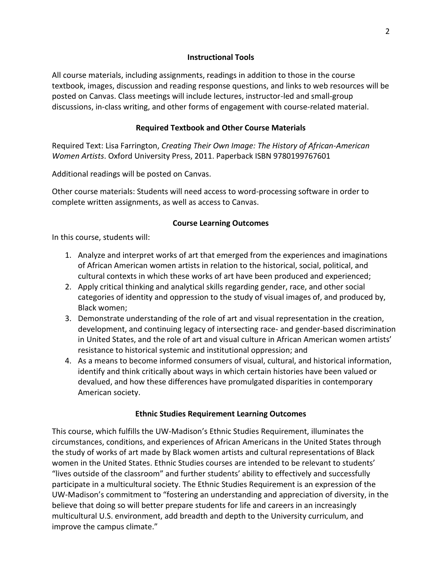#### **Instructional Tools**

All course materials, including assignments, readings in addition to those in the course textbook, images, discussion and reading response questions, and links to web resources will be posted on Canvas. Class meetings will include lectures, instructor-led and small-group discussions, in-class writing, and other forms of engagement with course-related material.

#### **Required Textbook and Other Course Materials**

Required Text: Lisa Farrington, *Creating Their Own Image: The History of African-American Women Artists*. Oxford University Press, 2011. Paperback ISBN 9780199767601

Additional readings will be posted on Canvas.

Other course materials: Students will need access to word-processing software in order to complete written assignments, as well as access to Canvas.

### **Course Learning Outcomes**

In this course, students will:

- 1. Analyze and interpret works of art that emerged from the experiences and imaginations of African American women artists in relation to the historical, social, political, and cultural contexts in which these works of art have been produced and experienced;
- 2. Apply critical thinking and analytical skills regarding gender, race, and other social categories of identity and oppression to the study of visual images of, and produced by, Black women;
- 3. Demonstrate understanding of the role of art and visual representation in the creation, development, and continuing legacy of intersecting race- and gender-based discrimination in United States, and the role of art and visual culture in African American women artists' resistance to historical systemic and institutional oppression; and
- 4. As a means to become informed consumers of visual, cultural, and historical information, identify and think critically about ways in which certain histories have been valued or devalued, and how these differences have promulgated disparities in contemporary American society.

#### **Ethnic Studies Requirement Learning Outcomes**

This course, which fulfills the UW-Madison's Ethnic Studies Requirement, illuminates the circumstances, conditions, and experiences of African Americans in the United States through the study of works of art made by Black women artists and cultural representations of Black women in the United States. Ethnic Studies courses are intended to be relevant to students' "lives outside of the classroom" and further students' ability to effectively and successfully participate in a multicultural society. The Ethnic Studies Requirement is an expression of the UW-Madison's commitment to "fostering an understanding and appreciation of diversity, in the believe that doing so will better prepare students for life and careers in an increasingly multicultural U.S. environment, add breadth and depth to the University curriculum, and improve the campus climate."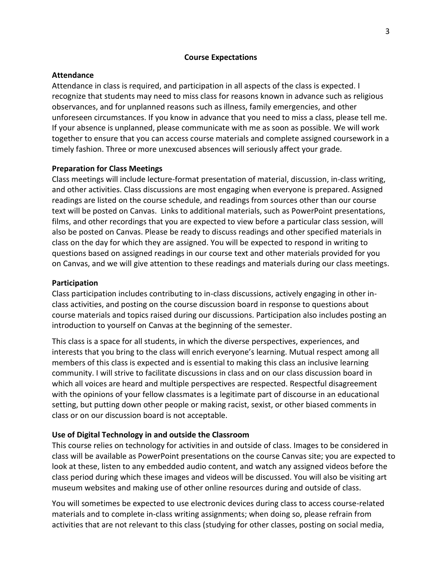#### **Course Expectations**

#### **Attendance**

Attendance in class is required, and participation in all aspects of the class is expected. I recognize that students may need to miss class for reasons known in advance such as religious observances, and for unplanned reasons such as illness, family emergencies, and other unforeseen circumstances. If you know in advance that you need to miss a class, please tell me. If your absence is unplanned, please communicate with me as soon as possible. We will work together to ensure that you can access course materials and complete assigned coursework in a timely fashion. Three or more unexcused absences will seriously affect your grade.

#### **Preparation for Class Meetings**

Class meetings will include lecture-format presentation of material, discussion, in-class writing, and other activities. Class discussions are most engaging when everyone is prepared. Assigned readings are listed on the course schedule, and readings from sources other than our course text will be posted on Canvas. Links to additional materials, such as PowerPoint presentations, films, and other recordings that you are expected to view before a particular class session, will also be posted on Canvas. Please be ready to discuss readings and other specified materials in class on the day for which they are assigned. You will be expected to respond in writing to questions based on assigned readings in our course text and other materials provided for you on Canvas, and we will give attention to these readings and materials during our class meetings.

#### **Participation**

Class participation includes contributing to in-class discussions, actively engaging in other inclass activities, and posting on the course discussion board in response to questions about course materials and topics raised during our discussions. Participation also includes posting an introduction to yourself on Canvas at the beginning of the semester.

This class is a space for all students, in which the diverse perspectives, experiences, and interests that you bring to the class will enrich everyone's learning. Mutual respect among all members of this class is expected and is essential to making this class an inclusive learning community. I will strive to facilitate discussions in class and on our class discussion board in which all voices are heard and multiple perspectives are respected. Respectful disagreement with the opinions of your fellow classmates is a legitimate part of discourse in an educational setting, but putting down other people or making racist, sexist, or other biased comments in class or on our discussion board is not acceptable.

#### **Use of Digital Technology in and outside the Classroom**

This course relies on technology for activities in and outside of class. Images to be considered in class will be available as PowerPoint presentations on the course Canvas site; you are expected to look at these, listen to any embedded audio content, and watch any assigned videos before the class period during which these images and videos will be discussed. You will also be visiting art museum websites and making use of other online resources during and outside of class.

You will sometimes be expected to use electronic devices during class to access course-related materials and to complete in-class writing assignments; when doing so, please refrain from activities that are not relevant to this class (studying for other classes, posting on social media,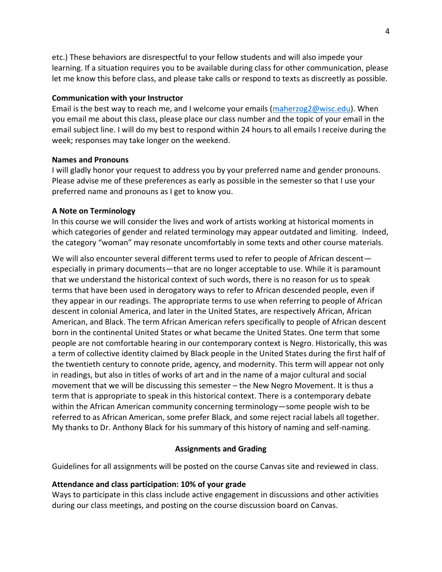etc.) These behaviors are disrespectful to your fellow students and will also impede your learning. If a situation requires you to be available during class for other communication, please let me know this before class, and please take calls or respond to texts as discreetly as possible.

### **Communication with your Instructor**

Email is the best way to reach me, and I welcome your emails [\(maherzog2@wisc.edu\)](mailto:maherzog2@wisc.edu). When you email me about this class, please place our class number and the topic of your email in the email subject line. I will do my best to respond within 24 hours to all emails I receive during the week; responses may take longer on the weekend.

### **Names and Pronouns**

I will gladly honor your request to address you by your preferred name and gender pronouns. Please advise me of these preferences as early as possible in the semester so that I use your preferred name and pronouns as I get to know you.

### **A Note on Terminology**

In this course we will consider the lives and work of artists working at historical moments in which categories of gender and related terminology may appear outdated and limiting. Indeed, the category "woman" may resonate uncomfortably in some texts and other course materials.

We will also encounter several different terms used to refer to people of African descentespecially in primary documents—that are no longer acceptable to use. While it is paramount that we understand the historical context of such words, there is no reason for us to speak terms that have been used in derogatory ways to refer to African descended people, even if they appear in our readings. The appropriate terms to use when referring to people of African descent in colonial America, and later in the United States, are respectively African, African American, and Black. The term African American refers specifically to people of African descent born in the continental United States or what became the United States. One term that some people are not comfortable hearing in our contemporary context is Negro. Historically, this was a term of collective identity claimed by Black people in the United States during the first half of the twentieth century to connote pride, agency, and modernity. This term will appear not only in readings, but also in titles of works of art and in the name of a major cultural and social movement that we will be discussing this semester – the New Negro Movement. It is thus a term that is appropriate to speak in this historical context. There is a contemporary debate within the African American community concerning terminology—some people wish to be referred to as African American, some prefer Black, and some reject racial labels all together. My thanks to Dr. Anthony Black for his summary of this history of naming and self-naming.

### **Assignments and Grading**

Guidelines for all assignments will be posted on the course Canvas site and reviewed in class.

### **Attendance and class participation: 10% of your grade**

Ways to participate in this class include active engagement in discussions and other activities during our class meetings, and posting on the course discussion board on Canvas.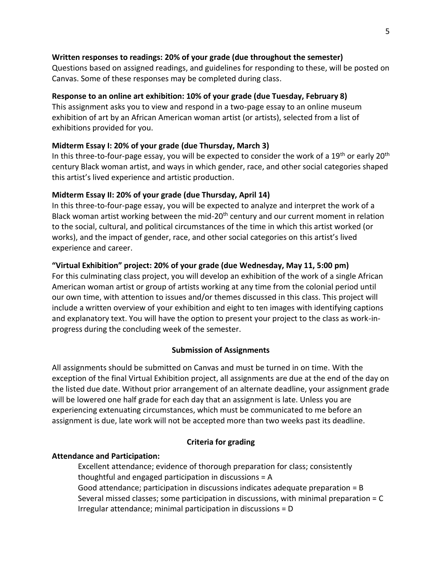### **Written responses to readings: 20% of your grade (due throughout the semester)**

Questions based on assigned readings, and guidelines for responding to these, will be posted on Canvas. Some of these responses may be completed during class.

### **Response to an online art exhibition: 10% of your grade (due Tuesday, February 8)**

This assignment asks you to view and respond in a two-page essay to an online museum exhibition of art by an African American woman artist (or artists), selected from a list of exhibitions provided for you.

### **Midterm Essay I: 20% of your grade (due Thursday, March 3)**

In this three-to-four-page essay, you will be expected to consider the work of a 19<sup>th</sup> or early 20<sup>th</sup> century Black woman artist, and ways in which gender, race, and other social categories shaped this artist's lived experience and artistic production.

### **Midterm Essay II: 20% of your grade (due Thursday, April 14)**

In this three-to-four-page essay, you will be expected to analyze and interpret the work of a Black woman artist working between the mid-20<sup>th</sup> century and our current moment in relation to the social, cultural, and political circumstances of the time in which this artist worked (or works), and the impact of gender, race, and other social categories on this artist's lived experience and career.

### **"Virtual Exhibition" project: 20% of your grade (due Wednesday, May 11, 5:00 pm)**

For this culminating class project, you will develop an exhibition of the work of a single African American woman artist or group of artists working at any time from the colonial period until our own time, with attention to issues and/or themes discussed in this class. This project will include a written overview of your exhibition and eight to ten images with identifying captions and explanatory text. You will have the option to present your project to the class as work-inprogress during the concluding week of the semester.

#### **Submission of Assignments**

All assignments should be submitted on Canvas and must be turned in on time. With the exception of the final Virtual Exhibition project, all assignments are due at the end of the day on the listed due date. Without prior arrangement of an alternate deadline, your assignment grade will be lowered one half grade for each day that an assignment is late. Unless you are experiencing extenuating circumstances, which must be communicated to me before an assignment is due, late work will not be accepted more than two weeks past its deadline.

### **Criteria for grading**

### **Attendance and Participation:**

Excellent attendance; evidence of thorough preparation for class; consistently thoughtful and engaged participation in discussions = A Good attendance; participation in discussions indicates adequate preparation = B Several missed classes; some participation in discussions, with minimal preparation = C Irregular attendance; minimal participation in discussions = D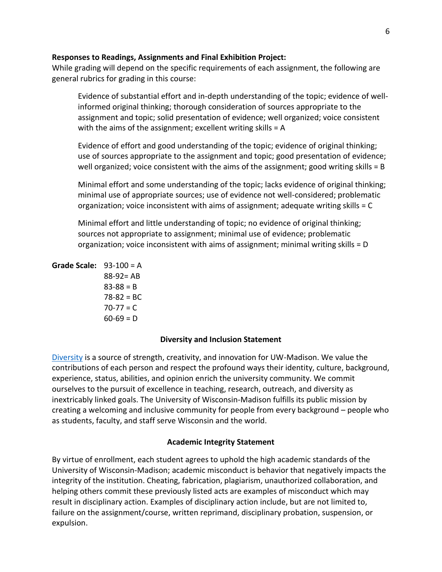### **Responses to Readings, Assignments and Final Exhibition Project:**

While grading will depend on the specific requirements of each assignment, the following are general rubrics for grading in this course:

Evidence of substantial effort and in-depth understanding of the topic; evidence of wellinformed original thinking; thorough consideration of sources appropriate to the assignment and topic; solid presentation of evidence; well organized; voice consistent with the aims of the assignment; excellent writing skills = A

Evidence of effort and good understanding of the topic; evidence of original thinking; use of sources appropriate to the assignment and topic; good presentation of evidence; well organized; voice consistent with the aims of the assignment; good writing skills = B

Minimal effort and some understanding of the topic; lacks evidence of original thinking; minimal use of appropriate sources; use of evidence not well-considered; problematic organization; voice inconsistent with aims of assignment; adequate writing skills = C

Minimal effort and little understanding of topic; no evidence of original thinking; sources not appropriate to assignment; minimal use of evidence; problematic organization; voice inconsistent with aims of assignment; minimal writing skills = D

```
Grade Scale: 93-100 = A
 88-92= AB
 83 - 88 = B
```
 $78 - 82 = BC$ 

 $70-77 = C$  $60-69 = D$ 

# **Diversity and Inclusion Statement**

[Diversity](https://diversity.wisc.edu/) is a source of strength, creativity, and innovation for UW-Madison. We value the contributions of each person and respect the profound ways their identity, culture, background, experience, status, abilities, and opinion enrich the university community. We commit ourselves to the pursuit of excellence in teaching, research, outreach, and diversity as inextricably linked goals. The University of Wisconsin-Madison fulfills its public mission by creating a welcoming and inclusive community for people from every background – people who as students, faculty, and staff serve Wisconsin and the world.

### **Academic Integrity Statement**

By virtue of enrollment, each student agrees to uphold the high academic standards of the University of Wisconsin-Madison; academic misconduct is behavior that negatively impacts the integrity of the institution. Cheating, fabrication, plagiarism, unauthorized collaboration, and helping others commit these previously listed acts are examples of misconduct which may result in disciplinary action. Examples of disciplinary action include, but are not limited to, failure on the assignment/course, written reprimand, disciplinary probation, suspension, or expulsion.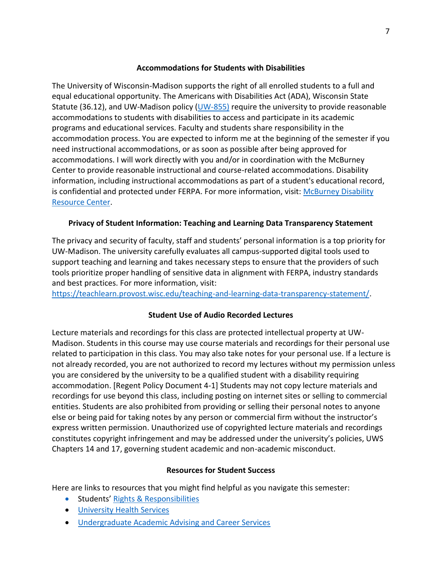### **Accommodations for Students with Disabilities**

The University of Wisconsin-Madison supports the right of all enrolled students to a full and equal educational opportunity. The Americans with Disabilities Act (ADA), Wisconsin State Statute (36.12), and UW-Madison policy [\(UW-855\)](https://policy.wisc.edu/library/UW-855) require the university to provide reasonable accommodations to students with disabilities to access and participate in its academic programs and educational services. Faculty and students share responsibility in the accommodation process. You are expected to inform me at the beginning of the semester if you need instructional accommodations, or as soon as possible after being approved for accommodations. I will work directly with you and/or in coordination with the McBurney Center to provide reasonable instructional and course-related accommodations. Disability information, including instructional accommodations as part of a student's educational record, is confidential and protected under FERPA. For more information, visit: [McBurney Disability](https://mcburney.wisc.edu/)  [Resource Center.](https://mcburney.wisc.edu/)

# **Privacy of Student Information: Teaching and Learning Data Transparency Statement**

The privacy and security of faculty, staff and students' personal information is a top priority for UW-Madison. The university carefully evaluates all campus-supported digital tools used to support teaching and learning and takes necessary steps to ensure that the providers of such tools prioritize proper handling of sensitive data in alignment with FERPA, industry standards and best practices. For more information, visit:

[https://teachlearn.provost.wisc.edu/teaching-and-learning-data-transparency-statement/.](https://teachlearn.provost.wisc.edu/teaching-and-learning-data-transparency-statement/)

# **Student Use of Audio Recorded Lectures**

Lecture materials and recordings for this class are protected intellectual property at UW-Madison. Students in this course may use course materials and recordings for their personal use related to participation in this class. You may also take notes for your personal use. If a lecture is not already recorded, you are not authorized to record my lectures without my permission unless you are considered by the university to be a qualified student with a disability requiring accommodation. [Regent Policy Document 4-1] Students may not copy lecture materials and recordings for use beyond this class, including posting on internet sites or selling to commercial entities. Students are also prohibited from providing or selling their personal notes to anyone else or being paid for taking notes by any person or commercial firm without the instructor's express written permission. Unauthorized use of copyrighted lecture materials and recordings constitutes copyright infringement and may be addressed under the university's policies, UWS Chapters 14 and 17, governing student academic and non-academic misconduct.

# **Resources for Student Success**

Here are links to resources that you might find helpful as you navigate this semester:

- Students' [Rights & Responsibilities](https://guide.wisc.edu/undergraduate/#rulesrightsandresponsibilitiestext)
- [University Health Services](https://www.uhs.wisc.edu/)
- [Undergraduate Academic Advising and Career Services](https://advising.wisc.edu/)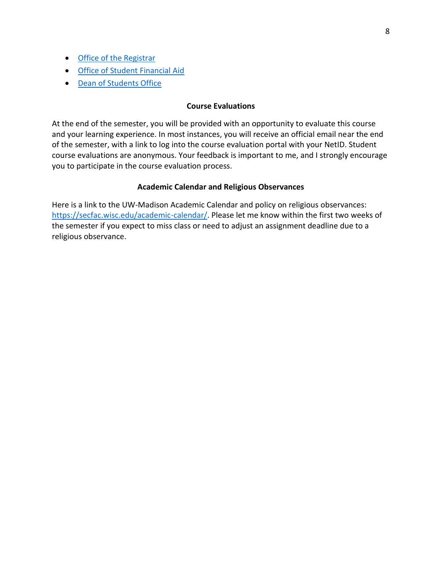- [Office of the Registrar](https://registrar.wisc.edu/)
- [Office of Student Financial Aid](https://financialaid.wisc.edu/)
- [Dean of Students Office](https://doso.students.wisc.edu/)

#### **Course Evaluations**

At the end of the semester, you will be provided with an opportunity to evaluate this course and your learning experience. In most instances, you will receive an official email near the end of the semester, with a link to log into the course evaluation portal with your NetID. Student course evaluations are anonymous. Your feedback is important to me, and I strongly encourage you to participate in the course evaluation process.

### **Academic Calendar and Religious Observances**

Here is a link to the UW-Madison Academic Calendar and policy on religious observances: [https://secfac.wisc.edu/academic-calendar/.](https://secfac.wisc.edu/academic-calendar/) Please let me know within the first two weeks of the semester if you expect to miss class or need to adjust an assignment deadline due to a religious observance.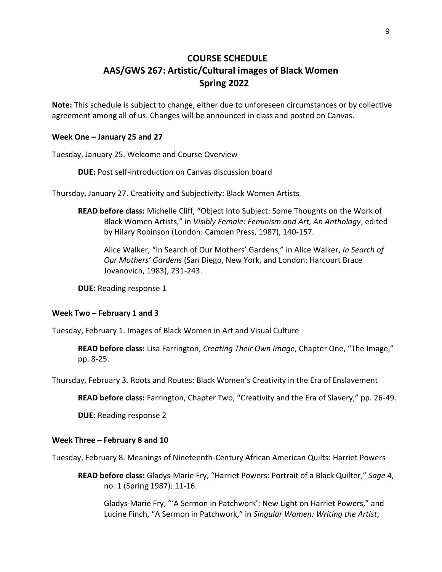# **COURSE SCHEDULE AAS/GWS 267: Artistic/Cultural images of Black Women Spring 2022**

**Note:** This schedule is subject to change, either due to unforeseen circumstances or by collective agreement among all of us. Changes will be announced in class and posted on Canvas.

#### **Week One – January 25 and 27**

Tuesday, January 25. Welcome and Course Overview

**DUE:** Post self-introduction on Canvas discussion board

Thursday, January 27. Creativity and Subjectivity: Black Women Artists

**READ before class:** Michelle Cliff, "Object Into Subject: Some Thoughts on the Work of Black Women Artists," in *Visibly Female: Feminism and Art, An Anthology*, edited by Hilary Robinson (London: Camden Press, 1987), 140-157.

Alice Walker, "In Search of Our Mothers' Gardens," in Alice Walker, *In Search of Our Mothers' Gardens* (San Diego, New York, and London: Harcourt Brace Jovanovich, 1983), 231-243.

**DUE:** Reading response 1

#### **Week Two – February 1 and 3**

Tuesday, February 1. Images of Black Women in Art and Visual Culture

**READ before class:** Lisa Farrington, *Creating Their Own Image*, Chapter One, "The Image," pp. 8-25.

Thursday, February 3. Roots and Routes: Black Women's Creativity in the Era of Enslavement

**READ before class:** Farrington, Chapter Two, "Creativity and the Era of Slavery," pp. 26-49.

**DUE:** Reading response 2

#### **Week Three – February 8 and 10**

Tuesday, February 8. Meanings of Nineteenth-Century African American Quilts: Harriet Powers

**READ before class:** Gladys-Marie Fry, "Harriet Powers: Portrait of a Black Quilter," *Sage* 4, no. 1 (Spring 1987): 11-16.

Gladys-Marie Fry, "'A Sermon in Patchwork': New Light on Harriet Powers," and Lucine Finch, "A Sermon in Patchwork," in *Singular Women: Writing the Artist*,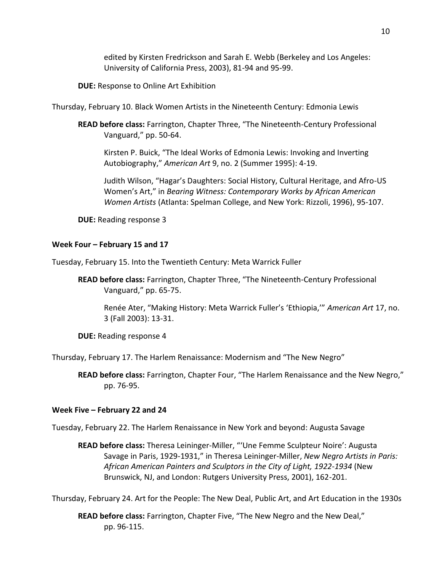edited by Kirsten Fredrickson and Sarah E. Webb (Berkeley and Los Angeles: University of California Press, 2003), 81-94 and 95-99.

**DUE:** Response to Online Art Exhibition

Thursday, February 10. Black Women Artists in the Nineteenth Century: Edmonia Lewis

**READ before class:** Farrington, Chapter Three, "The Nineteenth-Century Professional Vanguard," pp. 50-64.

Kirsten P. Buick, "The Ideal Works of Edmonia Lewis: Invoking and Inverting Autobiography," *American Art* 9, no. 2 (Summer 1995): 4-19.

Judith Wilson, "Hagar's Daughters: Social History, Cultural Heritage, and Afro-US Women's Art," in *Bearing Witness: Contemporary Works by African American Women Artists* (Atlanta: Spelman College, and New York: Rizzoli, 1996), 95-107.

**DUE:** Reading response 3

### **Week Four – February 15 and 17**

Tuesday, February 15. Into the Twentieth Century: Meta Warrick Fuller

**READ before class:** Farrington, Chapter Three, "The Nineteenth-Century Professional Vanguard," pp. 65-75.

Renée Ater, "Making History: Meta Warrick Fuller's 'Ethiopia,'" *American Art* 17, no. 3 (Fall 2003): 13-31.

**DUE:** Reading response 4

Thursday, February 17. The Harlem Renaissance: Modernism and "The New Negro"

**READ before class:** Farrington, Chapter Four, "The Harlem Renaissance and the New Negro," pp. 76-95.

### **Week Five – February 22 and 24**

Tuesday, February 22. The Harlem Renaissance in New York and beyond: Augusta Savage

**READ before class:** Theresa Leininger-Miller, "'Une Femme Sculpteur Noire': Augusta Savage in Paris, 1929-1931," in Theresa Leininger-Miller, *New Negro Artists in Paris: African American Painters and Sculptors in the City of Light, 1922-1934* (New Brunswick, NJ, and London: Rutgers University Press, 2001), 162-201.

Thursday, February 24. Art for the People: The New Deal, Public Art, and Art Education in the 1930s

**READ before class:** Farrington, Chapter Five, "The New Negro and the New Deal," pp. 96-115.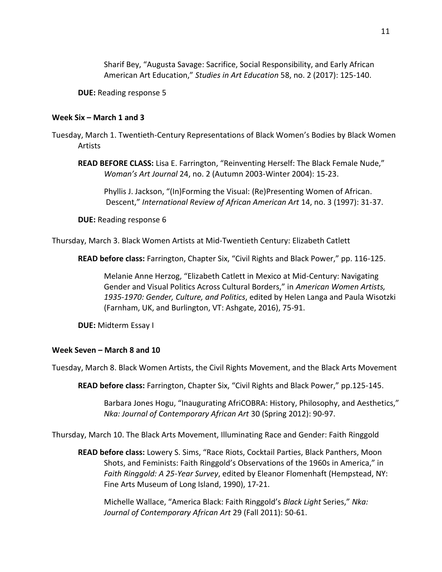Sharif Bey, "Augusta Savage: Sacrifice, Social Responsibility, and Early African American Art Education," *Studies in Art Education* 58, no. 2 (2017): 125-140.

**DUE:** Reading response 5

### **Week Six – March 1 and 3**

Tuesday, March 1. Twentieth-Century Representations of Black Women's Bodies by Black Women Artists

**READ BEFORE CLASS:** Lisa E. Farrington, "Reinventing Herself: The Black Female Nude," *Woman's Art Journal* 24, no. 2 (Autumn 2003-Winter 2004): 15-23.

Phyllis J. Jackson, "(In)Forming the Visual: (Re)Presenting Women of African. Descent," *International Review of African American Art* 14, no. 3 (1997): 31-37.

**DUE:** Reading response 6

Thursday, March 3. Black Women Artists at Mid-Twentieth Century: Elizabeth Catlett

**READ before class:** Farrington, Chapter Six, "Civil Rights and Black Power," pp. 116-125.

Melanie Anne Herzog, "Elizabeth Catlett in Mexico at Mid-Century: Navigating Gender and Visual Politics Across Cultural Borders," in *American Women Artists, 1935-1970: Gender, Culture, and Politics*, edited by Helen Langa and Paula Wisotzki (Farnham, UK, and Burlington, VT: Ashgate, 2016), 75-91.

**DUE:** Midterm Essay I

### **Week Seven – March 8 and 10**

Tuesday, March 8. Black Women Artists, the Civil Rights Movement, and the Black Arts Movement

**READ before class:** Farrington, Chapter Six, "Civil Rights and Black Power," pp.125-145.

Barbara Jones Hogu, "Inaugurating AfriCOBRA: History, Philosophy, and Aesthetics," *Nka: Journal of Contemporary African Art* 30 (Spring 2012): 90-97.

Thursday, March 10. The Black Arts Movement, Illuminating Race and Gender: Faith Ringgold

**READ before class:** Lowery S. Sims, "Race Riots, Cocktail Parties, Black Panthers, Moon Shots, and Feminists: Faith Ringgold's Observations of the 1960s in America," in *Faith Ringgold: A 25-Year Survey*, edited by Eleanor Flomenhaft (Hempstead, NY: Fine Arts Museum of Long Island, 1990), 17-21.

Michelle Wallace, "America Black: Faith Ringgold's *Black Light* Series," *Nka: Journal of Contemporary African Art* 29 (Fall 2011): 50-61.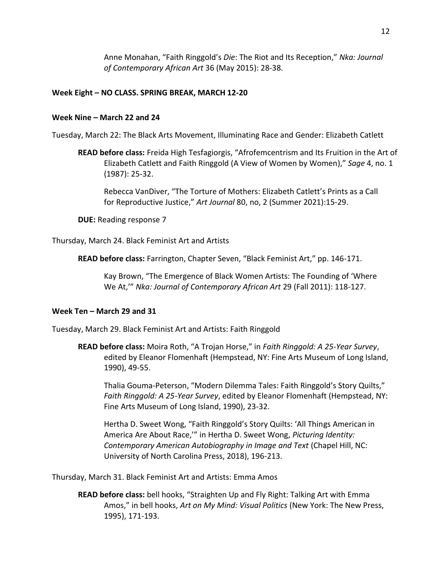Anne Monahan, "Faith Ringgold's *Die*: The Riot and Its Reception," *Nka: Journal of Contemporary African Art* 36 (May 2015): 28-38.

### **Week Eight – NO CLASS. SPRING BREAK, MARCH 12-20**

#### **Week Nine – March 22 and 24**

Tuesday, March 22: The Black Arts Movement, Illuminating Race and Gender: Elizabeth Catlett

**READ before class:** Freida High Tesfagiorgis, "Afrofemcentrism and Its Fruition in the Art of Elizabeth Catlett and Faith Ringgold (A View of Women by Women)," *Sage* 4, no. 1 (1987): 25-32.

Rebecca VanDiver, "The Torture of Mothers: Elizabeth Catlett's Prints as a Call for Reproductive Justice," *Art Journal* 80, no, 2 (Summer 2021):15-29.

**DUE:** Reading response 7

Thursday, March 24. Black Feminist Art and Artists

**READ before class:** Farrington, Chapter Seven, "Black Feminist Art," pp. 146-171.

Kay Brown, "The Emergence of Black Women Artists: The Founding of 'Where We At,'" *Nka: Journal of Contemporary African Art* 29 (Fall 2011): 118-127.

### **Week Ten – March 29 and 31**

Tuesday, March 29. Black Feminist Art and Artists: Faith Ringgold

**READ before class:** Moira Roth, "A Trojan Horse," in *Faith Ringgold: A 25-Year Survey*, edited by Eleanor Flomenhaft (Hempstead, NY: Fine Arts Museum of Long Island, 1990), 49-55.

Thalia Gouma-Peterson, "Modern Dilemma Tales: Faith Ringgold's Story Quilts," *Faith Ringgold: A 25-Year Survey*, edited by Eleanor Flomenhaft (Hempstead, NY: Fine Arts Museum of Long Island, 1990), 23-32.

Hertha D. Sweet Wong, "Faith Ringgold's Story Quilts: 'All Things American in America Are About Race,'" in Hertha D. Sweet Wong, *Picturing Identity: Contemporary American Autobiography in Image and Text* (Chapel Hill, NC: University of North Carolina Press, 2018), 196-213.

Thursday, March 31. Black Feminist Art and Artists: Emma Amos

**READ before class:** bell hooks, "Straighten Up and Fly Right: Talking Art with Emma Amos," in bell hooks, *Art on My Mind: Visual Politics* (New York: The New Press, 1995), 171-193.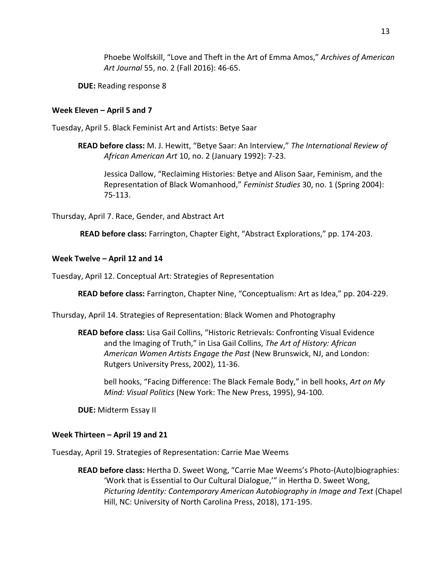Phoebe Wolfskill, "Love and Theft in the Art of Emma Amos," *Archives of American Art Journal* 55, no. 2 (Fall 2016): 46-65.

**DUE:** Reading response 8

## **Week Eleven – April 5 and 7**

Tuesday, April 5. Black Feminist Art and Artists: Betye Saar

**READ before class:** M. J. Hewitt, "Betye Saar: An Interview," *The International Review of African American Art* 10, no. 2 (January 1992): 7-23.

Jessica Dallow, "Reclaiming Histories: Betye and Alison Saar, Feminism, and the Representation of Black Womanhood," *Feminist Studies* 30, no. 1 (Spring 2004): 75-113.

Thursday, April 7. Race, Gender, and Abstract Art

**READ before class:** Farrington, Chapter Eight, "Abstract Explorations," pp. 174-203.

## **Week Twelve – April 12 and 14**

Tuesday, April 12. Conceptual Art: Strategies of Representation

**READ before class:** Farrington, Chapter Nine, "Conceptualism: Art as Idea," pp. 204-229.

Thursday, April 14. Strategies of Representation: Black Women and Photography

**READ before class:** Lisa Gail Collins, "Historic Retrievals: Confronting Visual Evidence and the Imaging of Truth," in Lisa Gail Collins, *The Art of History: African American Women Artists Engage the Past* (New Brunswick, NJ, and London: Rutgers University Press, 2002), 11-36.

bell hooks, "Facing Difference: The Black Female Body," in bell hooks, *Art on My Mind: Visual Politics* (New York: The New Press, 1995), 94-100.

**DUE:** Midterm Essay II

# **Week Thirteen – April 19 and 21**

Tuesday, April 19. Strategies of Representation: Carrie Mae Weems

**READ before class:** Hertha D. Sweet Wong, "Carrie Mae Weems's Photo-(Auto)biographies: 'Work that is Essential to Our Cultural Dialogue,'" in Hertha D. Sweet Wong, *Picturing Identity: Contemporary American Autobiography in Image and Text* (Chapel Hill, NC: University of North Carolina Press, 2018), 171-195.